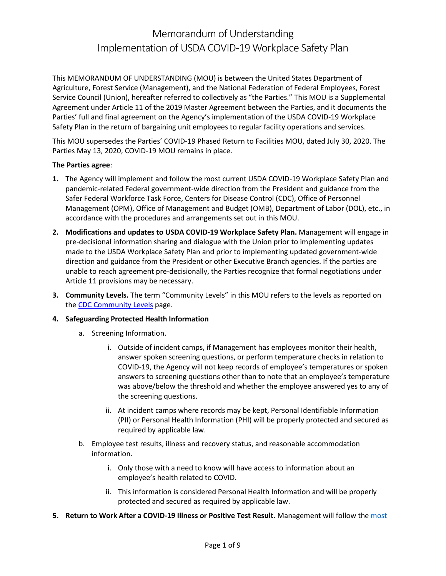This MEMORANDUM OF UNDERSTANDING (MOU) is between the United States Department of Agriculture, Forest Service (Management), and the National Federation of Federal Employees, Forest Service Council (Union), hereafter referred to collectively as "the Parties." This MOU is a Supplemental Agreement under Article 11 of the 2019 Master Agreement between the Parties, and it documents the Parties' full and final agreement on the Agency's implementation of the USDA COVID-19 Workplace Safety Plan in the return of bargaining unit employees to regular facility operations and services.

This MOU supersedes the Parties' COVID-19 Phased Return to Facilities MOU, dated July 30, 2020. The Parties May 13, 2020, COVID-19 MOU remains in place.

### **The Parties agree**:

- **1.** The Agency will implement and follow the most current USDA COVID-19 Workplace Safety Plan and pandemic-related Federal government-wide direction from the President and guidance from the Safer Federal Workforce Task Force, Centers for Disease Control (CDC), Office of Personnel Management (OPM), Office of Management and Budget (OMB), Department of Labor (DOL), etc., in accordance with the procedures and arrangements set out in this MOU.
- **2. Modifications and updates to USDA COVID-19 Workplace Safety Plan.** Management will engage in pre-decisional information sharing and dialogue with the Union prior to implementing updates made to the USDA Workplace Safety Plan and prior to implementing updated government-wide direction and guidance from the President or other Executive Branch agencies. If the parties are unable to reach agreement pre-decisionally, the Parties recognize that formal negotiations under Article 11 provisions may be necessary.
- **3. Community Levels.** The term "Community Levels" in this MOU refers to the levels as reported on the [CDC Community Levels](https://www.cdc.gov/coronavirus/2019-ncov/science/community-levels.html) page.
- **4. Safeguarding Protected Health Information**
	- a. Screening Information.
		- i. Outside of incident camps, if Management has employees monitor their health, answer spoken screening questions, or perform temperature checks in relation to COVID-19, the Agency will not keep records of employee's temperatures or spoken answers to screening questions other than to note that an employee's temperature was above/below the threshold and whether the employee answered yes to any of the screening questions.
		- ii. At incident camps where records may be kept, Personal Identifiable Information (PII) or Personal Health Information (PHI) will be properly protected and secured as required by applicable law.
	- b. Employee test results, illness and recovery status, and reasonable accommodation information.
		- i. Only those with a need to know will have access to information about an employee's health related to COVID.
		- ii. This information is considered Personal Health Information and will be properly protected and secured as required by applicable law.
- **5. Return to Work After a COVID-19 Illness or Positive Test Result.** Management will follow the [most](https://www.cdc.gov/coronavirus/2019-ncov/hcp/disposition-in-home-patients.html)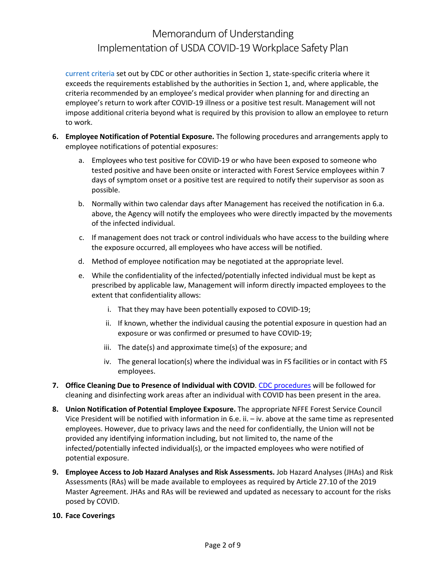[current criteria](https://www.cdc.gov/coronavirus/2019-ncov/hcp/disposition-in-home-patients.html) set out by CDC or other authorities in Section 1, state-specific criteria where it exceeds the requirements established by the authorities in Section 1, and, where applicable, the criteria recommended by an employee's medical provider when planning for and directing an employee's return to work after COVID-19 illness or a positive test result. Management will not impose additional criteria beyond what is required by this provision to allow an employee to return to work.

- **6. Employee Notification of Potential Exposure.** The following procedures and arrangements apply to employee notifications of potential exposures:
	- a. Employees who test positive for COVID-19 or who have been exposed to someone who tested positive and have been onsite or interacted with Forest Service employees within 7 days of symptom onset or a positive test are required to notify their supervisor as soon as possible.
	- b. Normally within two calendar days after Management has received the notification in 6.a. above, the Agency will notify the employees who were directly impacted by the movements of the infected individual.
	- c. If management does not track or control individuals who have access to the building where the exposure occurred, all employees who have access will be notified.
	- d. Method of employee notification may be negotiated at the appropriate level.
	- e. While the confidentiality of the infected/potentially infected individual must be kept as prescribed by applicable law, Management will inform directly impacted employees to the extent that confidentiality allows:
		- i. That they may have been potentially exposed to COVID-19;
		- ii. If known, whether the individual causing the potential exposure in question had an exposure or was confirmed or presumed to have COVID-19;
		- iii. The date(s) and approximate time(s) of the exposure; and
		- iv. The general location(s) where the individual was in FS facilities or in contact with FS employees.
- **7. Office Cleaning Due to Presence of Individual with COVID**. [CDC procedures](https://www.cdc.gov/coronavirus/2019-ncov/community/disinfecting-building-facility.html) will be followed for cleaning and disinfecting work areas after an individual with COVID has been present in the area.
- **8. Union Notification of Potential Employee Exposure.** The appropriate NFFE Forest Service Council Vice President will be notified with information in 6.e. ii. – iv. above at the same time as represented employees. However, due to privacy laws and the need for confidentially, the Union will not be provided any identifying information including, but not limited to, the name of the infected/potentially infected individual(s), or the impacted employees who were notified of potential exposure.
- **9. Employee Access to Job Hazard Analyses and Risk Assessments.** Job Hazard Analyses (JHAs) and Risk Assessments (RAs) will be made available to employees as required by Article 27.10 of the 2019 Master Agreement. JHAs and RAs will be reviewed and updated as necessary to account for the risks posed by COVID.
- **10. Face Coverings**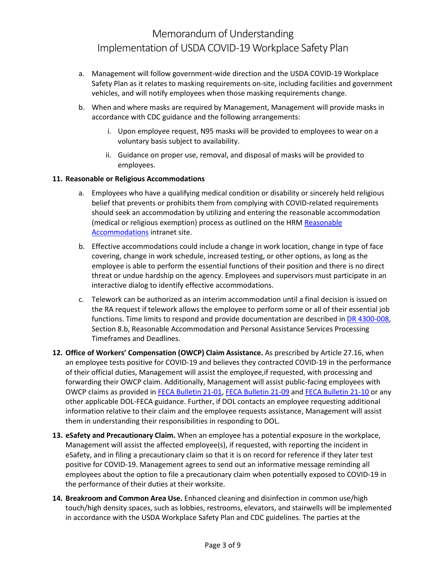- a. Management will follow government-wide direction and the USDA COVID-19 Workplace Safety Plan as it relates to masking requirements on-site, including facilities and government vehicles, and will notify employees when those masking requirements change.
- b. When and where masks are required by Management, Management will provide masks in accordance with CDC guidance and the following arrangements:
	- i. Upon employee request, N95 masks will be provided to employees to wear on a voluntary basis subject to availability.
	- ii. Guidance on proper use, removal, and disposal of masks will be provided to employees.

## **11. Reasonable or Religious Accommodations**

- a. Employees who have a qualifying medical condition or disability or sincerely held religious belief that prevents or prohibits them from complying with COVID-related requirements should seek an accommodation by utilizing and entering the reasonable accommodation (medical or religious exemption) process as outlined on the HRM [Reasonable](https://fsweb.wo.fs.fed.us/hrm/reasonable-accommodations/index.php) [Accommodations](https://fsweb.wo.fs.fed.us/hrm/reasonable-accommodations/index.php) intranet site.
- b. Effective accommodations could include a change in work location, change in type of face covering, change in work schedule, increased testing, or other options, as long as the employee is able to perform the essential functions of their position and there is no direct threat or undue hardship on the agency. Employees and supervisors must participate in an interactive dialog to identify effective accommodations.
- c. Telework can be authorized as an interim accommodation until a final decision is issued on the RA request if telework allows the employee to perform some or all of their essential job functions. Time limits to respond and provide documentation are described in [DR 4300-008,](https://www.usda.gov/directives/dr-4300-008) Section 8.b, Reasonable Accommodation and Personal Assistance Services Processing Timeframes and Deadlines.
- **12. Office of Workers' Compensation (OWCP) Claim Assistance.** As prescribed by Article 27.16, when an employee tests positive for COVID-19 and believes they contracted COVID-19 in the performance of their official duties, Management will assist the employee,if requested, with processing and forwarding their OWCP claim. Additionally, Management will assist public-facing employees with OWCP claims as provided in [FECA Bulletin 21-01,](https://www.dol.gov/agencies/owcp/FECA/regs/compliance/DFECfolio/FECABulletins/FY2020-2024#FECAB2101) [FECA Bulletin 21-09](https://www.dol.gov/agencies/owcp/FECA/regs/compliance/DFECfolio/FECABulletins/FY2020-2024#FECAB2109) and [FECA Bulletin 21-10](https://www.dol.gov/agencies/owcp/FECA/regs/compliance/DFECfolio/FECABulletins/FY2020-2024#FECAB2110) or any other applicable DOL-FECA guidance. Further, if DOL contacts an employee requesting additional information relative to their claim and the employee requests assistance, Management will assist them in understanding their responsibilities in responding to DOL.
- **13. eSafety and Precautionary Claim.** When an employee has a potential exposure in the workplace, Management will assist the affected employee(s), if requested, with reporting the incident in eSafety, and in filing a precautionary claim so that it is on record for reference if they later test positive for COVID-19. Management agrees to send out an informative message reminding all employees about the option to file a precautionary claim when potentially exposed to COVID-19 in the performance of their duties at their worksite.
- **14. Breakroom and Common Area Use.** Enhanced cleaning and disinfection in common use/high touch/high density spaces, such as lobbies, restrooms, elevators, and stairwells will be implemented in accordance with the USDA Workplace Safety Plan and CDC guidelines. The parties at the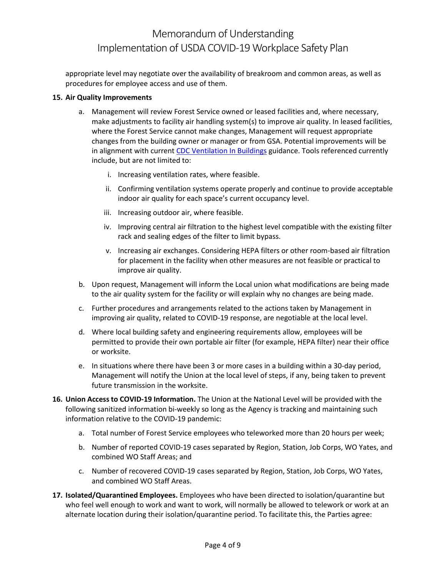appropriate level may negotiate over the availability of breakroom and common areas, as well as procedures for employee access and use of them.

#### **15. Air Quality Improvements**

- a. Management will review Forest Service owned or leased facilities and, where necessary, make adjustments to facility air handling system(s) to improve air quality. In leased facilities, where the Forest Service cannot make changes, Management will request appropriate changes from the building owner or manager or from GSA. Potential improvements will be in alignment with current [CDC Ventilation In Buildings](https://www.cdc.gov/coronavirus/2019-ncov/community/ventilation.html) guidance. Tools referenced currently include, but are not limited to:
	- i. Increasing ventilation rates, where feasible.
	- ii. Confirming ventilation systems operate properly and continue to provide acceptable indoor air quality for each space's current occupancy level.
	- iii. Increasing outdoor air, where feasible.
	- iv. Improving central air filtration to the highest level compatible with the existing filter rack and sealing edges of the filter to limit bypass.
	- v. Increasing air exchanges. Considering HEPA filters or other room-based air filtration for placement in the facility when other measures are not feasible or practical to improve air quality.
- b. Upon request, Management will inform the Local union what modifications are being made to the air quality system for the facility or will explain why no changes are being made.
- c. Further procedures and arrangements related to the actions taken by Management in improving air quality, related to COVID-19 response, are negotiable at the local level.
- d. Where local building safety and engineering requirements allow, employees will be permitted to provide their own portable air filter (for example, HEPA filter) near their office or worksite.
- e. In situations where there have been 3 or more cases in a building within a 30-day period, Management will notify the Union at the local level of steps, if any, being taken to prevent future transmission in the worksite.
- **16. Union Accessto COVID-19 Information.** The Union at the National Level will be provided with the following sanitized information bi-weekly so long as the Agency is tracking and maintaining such information relative to the COVID-19 pandemic:
	- a. Total number of Forest Service employees who teleworked more than 20 hours per week;
	- b. Number of reported COVID-19 cases separated by Region, Station, Job Corps, WO Yates, and combined WO Staff Areas; and
	- c. Number of recovered COVID-19 cases separated by Region, Station, Job Corps, WO Yates, and combined WO Staff Areas.
- **17. Isolated/Quarantined Employees.** Employees who have been directed to isolation/quarantine but who feel well enough to work and want to work, will normally be allowed to telework or work at an alternate location during their isolation/quarantine period. To facilitate this, the Parties agree: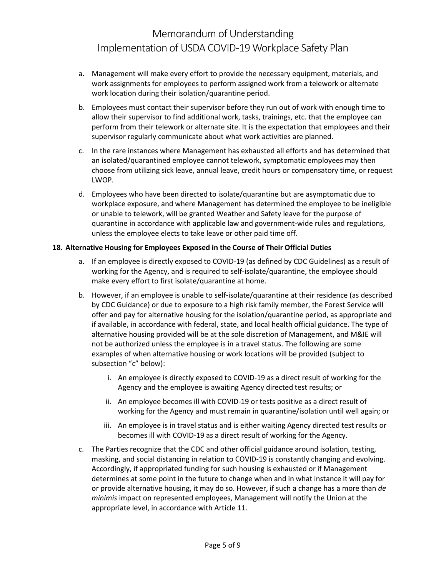- a. Management will make every effort to provide the necessary equipment, materials, and work assignments for employees to perform assigned work from a telework or alternate work location during their isolation/quarantine period.
- b. Employees must contact their supervisor before they run out of work with enough time to allow their supervisor to find additional work, tasks, trainings, etc. that the employee can perform from their telework or alternate site. It is the expectation that employees and their supervisor regularly communicate about what work activities are planned.
- c. In the rare instances where Management has exhausted all efforts and has determined that an isolated/quarantined employee cannot telework, symptomatic employees may then choose from utilizing sick leave, annual leave, credit hours or compensatory time, or request LWOP.
- d. Employees who have been directed to isolate/quarantine but are asymptomatic due to workplace exposure, and where Management has determined the employee to be ineligible or unable to telework, will be granted Weather and Safety leave for the purpose of quarantine in accordance with applicable law and government-wide rules and regulations, unless the employee elects to take leave or other paid time off.

## **18. Alternative Housing for Employees Exposed in the Course of Their Official Duties**

- a. If an employee is directly exposed to COVID-19 (as defined by [CDC Guidelines\)](https://www.cdc.gov/coronavirus/2019-ncov/php/public-health-recommendations.html) as a result of working for the Agency, and is required to self-isolate/quarantine, the employee should make every effort to first isolate/quarantine at home.
- b. However, if an employee is unable to self-isolate/quarantine at their residence (as described by [CDC Guidance\)](https://www.cdc.gov/coronavirus/2019-ncov/hcp/guidance-home-care.html) or due to exposure to a high risk family member, the Forest Service will offer and pay for alternative housing for the isolation/quarantine period, as appropriate and if available, in accordance with federal, state, and local health official guidance. The type of alternative housing provided will be at the sole discretion of Management, and M&IE will not be authorized unless the employee is in a travel status. The following are some examples of when alternative housing or work locations will be provided (subject to subsection "c" below):
	- i. An employee is directly exposed to COVID-19 as a direct result of working for the Agency and the employee is awaiting Agency directed test results; or
	- ii. An employee becomes ill with COVID-19 or tests positive as a direct result of working for the Agency and must remain in quarantine/isolation until well again; or
	- iii. An employee is in travel status and is either waiting Agency directed test results or becomes ill with COVID-19 as a direct result of working for the Agency.
- c. The Parties recognize that the CDC and other official guidance around isolation, testing, masking, and social distancing in relation to COVID-19 is constantly changing and evolving. Accordingly, if appropriated funding for such housing is exhausted or if Management determines at some point in the future to change when and in what instance it will pay for or provide alternative housing, it may do so. However, if such a change has a more than *de minimis* impact on represented employees, Management will notify the Union at the appropriate level, in accordance with Article 11.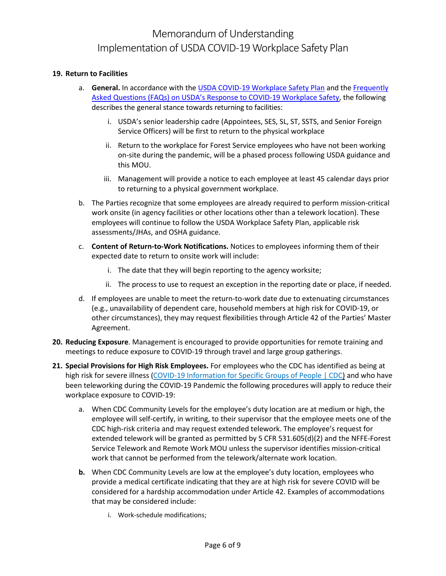## **19. Return to Facilities**

- a. **General.** In accordance with the [USDA COVID-19 Workplace Safety Plan](https://www.usda.gov/sites/default/files/documents/usda-covid-19-workplace-safety-plan.pdf) and the [Frequently](https://www.usda.gov/sites/default/files/documents/usda-future-work-faqs.pdf) [Asked Questions \(FAQs\) on USDA's Response to COVID-19 Workplace Safety,](https://www.usda.gov/sites/default/files/documents/usda-future-work-faqs.pdf) the following describes the general stance towards returning to facilities:
	- i. USDA's senior leadership cadre (Appointees, SES, SL, ST, SSTS, and Senior Foreign Service Officers) will be first to return to the physical workplace
	- ii. Return to the workplace for Forest Service employees who have not been working on-site during the pandemic, will be a phased process following USDA guidance and this MOU.
	- iii. Management will provide a notice to each employee at least 45 calendar days prior to returning to a physical government workplace.
- b. The Parties recognize that some employees are already required to perform mission-critical work onsite (in agency facilities or other locations other than a telework location). These employees will continue to follow the USDA Workplace Safety Plan, applicable risk assessments/JHAs, and OSHA guidance.
- c. **Content of Return-to-Work Notifications.** Notices to employees informing them of their expected date to return to onsite work will include:
	- i. The date that they will begin reporting to the agency worksite;
	- ii. The process to use to request an exception in the reporting date or place, if needed.
- d. If employees are unable to meet the return-to-work date due to extenuating circumstances (e.g., unavailability of dependent care, household members at high risk for COVID-19, or other circumstances), they may request flexibilities through Article 42 of the Parties' Master Agreement.
- **20. Reducing Exposure**. Management is encouraged to provide opportunities for remote training and meetings to reduce exposure to COVID-19 through travel and large group gatherings.
- **21. Special Provisions for High Risk Employees.** For employees who the CDC has identified as being at high risk for severe illness [\(COVID-19 Information for Specific Groups of People | CDC\)](https://www.cdc.gov/coronavirus/2019-ncov/need-extra-precautions/people-with-medical-conditions.html) and who have been teleworking during the COVID-19 Pandemic the following procedures will apply to reduce their workplace exposure to COVID-19:
	- a. When CDC Community Levels for the employee's duty location are at medium or high, the employee will self-certify, in writing, to their supervisor that the employee meets one of the CDC high-risk criteria and may request extended telework. The employee's request for extended telework will be granted as permitted by 5 CFR 531.605(d)(2) and the NFFE-Forest Service Telework and Remote Work MOU unless the supervisor identifies mission-critical work that cannot be performed from the telework/alternate work location.
	- **b.** When CDC Community Levels are low at the employee's duty location, employees who provide a medical certificate indicating that they are at high risk for severe COVID will be considered for a hardship accommodation under Article 42. Examples of accommodations that may be considered include:
		- i. Work-schedule modifications;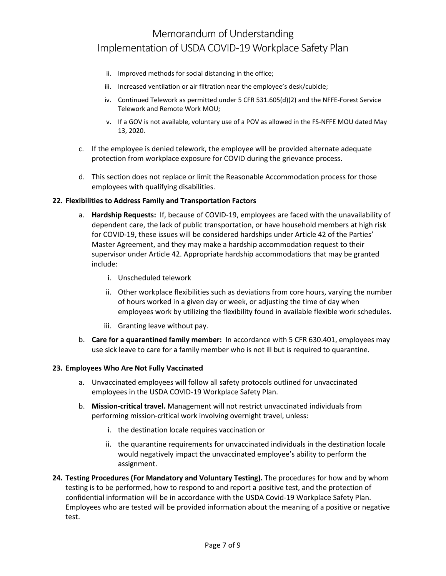- ii. Improved methods for social distancing in the office;
- iii. Increased ventilation or air filtration near the employee's desk/cubicle;
- iv. Continued Telework as permitted under 5 CFR 531.605(d)(2) and the NFFE-Forest Service Telework and Remote Work MOU;
- v. If a GOV is not available, voluntary use of a POV as allowed in the FS-NFFE MOU dated May 13, 2020.
- c. If the employee is denied telework, the employee will be provided alternate adequate protection from workplace exposure for COVID during the grievance process.
- d. This section does not replace or limit the Reasonable Accommodation process for those employees with qualifying disabilities.

### **22. Flexibilities to Address Family and Transportation Factors**

- a. **Hardship Requests:** If, because of COVID-19, employees are faced with the unavailability of dependent care, the lack of public transportation, or have household members at high risk for COVID-19, these issues will be considered hardships under Article 42 of the Parties' Master Agreement, and they may make a hardship accommodation request to their supervisor under Article 42. Appropriate hardship accommodations that may be granted include:
	- i. Unscheduled telework
	- ii. Other workplace flexibilities such as deviations from core hours, varying the number of hours worked in a given day or week, or adjusting the time of day when employees work by utilizing the flexibility found in available flexible work schedules.
	- iii. Granting leave without pay.
- b. **Care for a quarantined family member:** In accordance with 5 CFR 630.401, employees may use sick leave to care for a family member who is not ill but is required to quarantine.

### **23. Employees Who Are Not Fully Vaccinated**

- a. Unvaccinated employees will follow all safety protocols outlined for unvaccinated employees in the USDA COVID-19 Workplace Safety Plan.
- b. **Mission-critical travel.** Management will not restrict unvaccinated individuals from performing mission-critical work involving overnight travel, unless:
	- i. the destination locale requires vaccination or
	- ii. the quarantine requirements for unvaccinated individuals in the destination locale would negatively impact the unvaccinated employee's ability to perform the assignment.
- **24. Testing Procedures (For Mandatory and Voluntary Testing).** The procedures for how and by whom testing is to be performed, how to respond to and report a positive test, and the protection of confidential information will be in accordance with the USDA Covid-19 Workplace Safety Plan. Employees who are tested will be provided information about the meaning of a positive or negative test.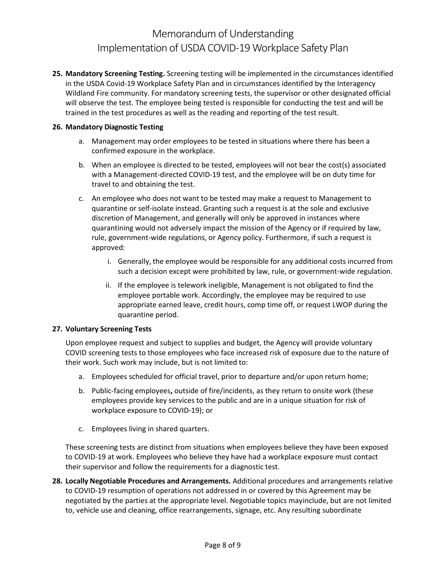**25. Mandatory Screening Testing.** Screening testing will be implemented in the circumstances identified in the USDA Covid-19 Workplace Safety Plan and in circumstances identified by the Interagency Wildland Fire community. For mandatory screening tests, the supervisor or other designated official will observe the test. The employee being tested is responsible for conducting the test and will be trained in the test procedures as well as the reading and reporting of the test result.

## **26. Mandatory Diagnostic Testing**

- a. Management may order employees to be tested in situations where there has been a confirmed exposure in the workplace.
- b. When an employee is directed to be tested, employees will not bear the cost(s) associated with a Management-directed COVID-19 test, and the employee will be on duty time for travel to and obtaining the test.
- c. An employee who does not want to be tested may make a request to Management to quarantine or self-isolate instead. Granting such a request is at the sole and exclusive discretion of Management, and generally will only be approved in instances where quarantining would not adversely impact the mission of the Agency or if required by law, rule, government-wide regulations, or Agency policy. Furthermore, if such a request is approved:
	- i. Generally, the employee would be responsible for any additional costs incurred from such a decision except were prohibited by law, rule, or government-wide regulation.
	- ii. If the employee is telework ineligible, Management is not obligated to find the employee portable work. Accordingly, the employee may be required to use appropriate earned leave, credit hours, comp time off, or request LWOP during the quarantine period.

### **27. Voluntary Screening Tests**

Upon employee request and subject to supplies and budget, the Agency will provide voluntary COVID screening tests to those employees who face increased risk of exposure due to the nature of their work. Such work may include, but is not limited to:

- a. Employees scheduled for official travel, prior to departure and/or upon return home;
- b. Public-facing employees**,** outside of fire/incidents, as they return to onsite work (these employees provide key services to the public and are in a unique situation for risk of workplace exposure to COVID-19); or
- c. Employees living in shared quarters.

These screening tests are distinct from situations when employees believe they have been exposed to COVID-19 at work. Employees who believe they have had a workplace exposure must contact their supervisor and follow the requirements for a diagnostic test.

**28. Locally Negotiable Procedures and Arrangements.** Additional procedures and arrangements relative to COVID-19 resumption of operations not addressed in or covered by this Agreement may be negotiated by the parties at the appropriate level. Negotiable topics may include, but are not limited to, vehicle use and cleaning, office rearrangements, signage, etc. Any resulting subordinate